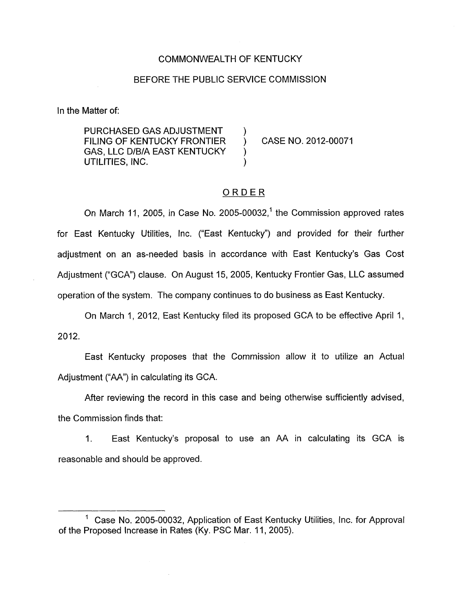### COMMONWEALTH OF KENTUCKY

### BEFORE THE PUBLIC SERVICE COMMISSION

In the Matter of:

PURCHASED GAS ADJUSTMENT GAS, LLC D/B/A EAST KENTUCKY FILING OF KENTUCKY FRONTIER ) CASE NO. 2012-00071 UTILITIES, INC.

## ORDER

On March 11, 2005, in Case No. 2005-00032,<sup>1</sup> the Commission approved rates for East Kentucky Utilities, lnc. ("East Kentucky") and provided for their further adjustment on an as-needed basis in accordance with East Kentucky's Gas Cost Adjustment ("GCA") clause. On August 15, 2005, Kentucky Frontier Gas, LLC assumed operation of the system. The company continues to do business as East Kentucky.

On March 1, 2012, East Kentucky filed its proposed GCA to be effective April 1, 2012.

East Kentucky proposes that the Commission allow it to utilize an Actual Adjustment ("AA") in calculating its GCA.

After reviewing the record in this case and being otherwise sufficiently advised, the Commission finds that:

1. East Kentucky's proposal to use an AA in calculating its GCA is reasonable and should be approved.

Case No. 2005-00032, Application of East Kentucky Utilities, Inc. for Approval of the Proposed Increase in Rates (Ky. PSC Mar. 11 , 2005).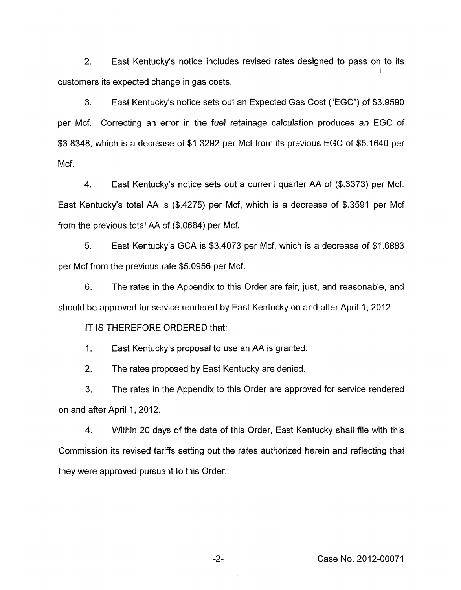2. East Kentucky's notice includes revised rates designed to pass on to its I customers its expected change in gas costs.

3. East Kentucky's notice sets out an Expected Gas Cost ("EGC") of \$3.9590 per Mcf. Correcting an error in the fuel retainage calculation produces an EGC of \$3.8348, which is a decrease of \$1.3292 per Mcf from its previous EGC of \$5.1640 per Mcf.

4. East Kentucky's notice sets out a current quarter AA of (\$.3373) per Mcf. East Kentucky's total AA is (\$.4275) per Mcf, which is a decrease of \$.3591 per Mcf from the previous total AA of (\$.0684) per Mcf.

*5.* East Kentucky's GCA is \$3.4073 per Mcf, which is a decrease of \$1.6883 per Mcf from the previous rate \$5.0956 per Mcf.

6. The rates in the Appendix to this Order are fair, just, and reasonable, and should be approved for service rendered by East Kentucky on and after April 1, 2012.

IT IS THEREFORE ORDERED that:<br>1. East Kentucky's proposal to us East Kentucky's proposal to use an AA is granted.

2. The rates proposed by East Kentucky are denied.

3. The rates in the Appendix to this Order are approved for service rendered on and after April 1, 2012.

4. Within 20 days of the date of this Order, East Kentucky shall file with this Commission its revised tariffs setting out the rates authorized herein and reflecting that they were approved pursuant to this Order.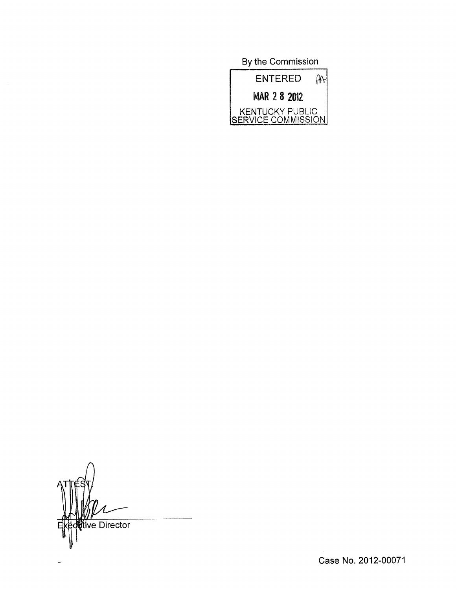By the Commission **ENTERED**  $A +$ MAR 2 8 2012 KENTUCKY PUBLIC<br>SERVICE COMMISSION

tive Director

 $\sim$ 

Case No. 2012-00071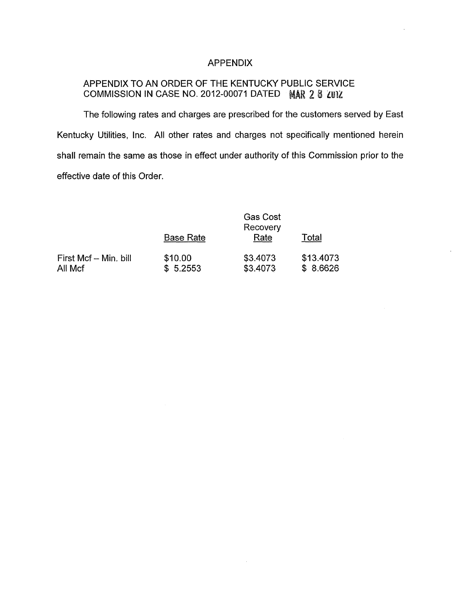## APPENDIX

# APPENDIX TO AN ORDER OF THE KENTUCKY PUBLIC SERVICE COMMISSION IN CASE NO. 2012-00071 DATED **2** 8 **ZUlZ**

The following rates and charges are prescribed for the customers served by East Kentucky Utilities, lnc. All other rates and charges not specifically mentioned herein shall remain the same as those in effect under authority of this Commission prior to the effective date of this Order

|                                  |                     | <b>Gas Cost</b><br>Recovery |                       |
|----------------------------------|---------------------|-----------------------------|-----------------------|
|                                  | <b>Base Rate</b>    | Rate                        | Total                 |
| First Mcf - Min. bill<br>All Mcf | \$10.00<br>\$5.2553 | \$3.4073<br>\$3.4073        | \$13.4073<br>\$8.6626 |